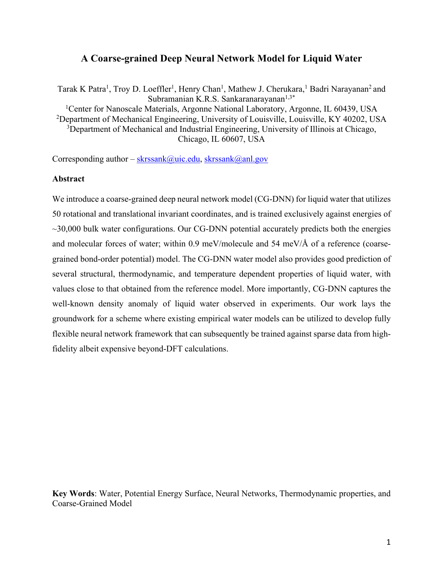## **A Coarse-grained Deep Neural Network Model for Liquid Water**

Tarak K Patra<sup>1</sup>, Troy D. Loeffler<sup>1</sup>, Henry Chan<sup>1</sup>, Mathew J. Cherukara,<sup>1</sup> Badri Narayanan<sup>2</sup> and Subramanian K.R.S. Sankaranarayanan $1,3^*$ <sup>1</sup>Center for Nanoscale Materials, Argonne National Laboratory, Argonne, IL 60439, USA <sup>2</sup>Department of Mechanical Engineering, University of Louisville, Louisville, KY 40202, USA <sup>3</sup>Department of Mechanical and Industrial Engineering, University of Illinois at Chicago, Chicago, IL 60607, USA

Corresponding author –  $skrssank@uic.edu, skrssank@anl.gov$ 

## **Abstract**

We introduce a coarse-grained deep neural network model (CG-DNN) for liquid water that utilizes 50 rotational and translational invariant coordinates, and is trained exclusively against energies of  $\sim$ 30,000 bulk water configurations. Our CG-DNN potential accurately predicts both the energies and molecular forces of water; within 0.9 meV/molecule and 54 meV/Å of a reference (coarsegrained bond-order potential) model. The CG-DNN water model also provides good prediction of several structural, thermodynamic, and temperature dependent properties of liquid water, with values close to that obtained from the reference model. More importantly, CG-DNN captures the well-known density anomaly of liquid water observed in experiments. Our work lays the groundwork for a scheme where existing empirical water models can be utilized to develop fully flexible neural network framework that can subsequently be trained against sparse data from highfidelity albeit expensive beyond-DFT calculations.

**Key Words**: Water, Potential Energy Surface, Neural Networks, Thermodynamic properties, and Coarse-Grained Model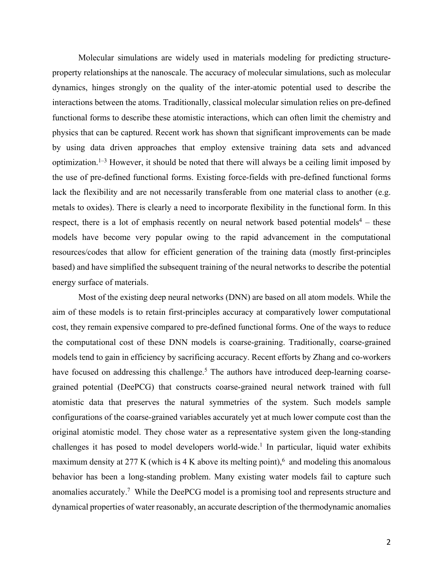Molecular simulations are widely used in materials modeling for predicting structureproperty relationships at the nanoscale. The accuracy of molecular simulations, such as molecular dynamics, hinges strongly on the quality of the inter-atomic potential used to describe the interactions between the atoms. Traditionally, classical molecular simulation relies on pre-defined functional forms to describe these atomistic interactions, which can often limit the chemistry and physics that can be captured. Recent work has shown that significant improvements can be made by using data driven approaches that employ extensive training data sets and advanced optimization.<sup>1–3</sup> However, it should be noted that there will always be a ceiling limit imposed by the use of pre-defined functional forms. Existing force-fields with pre-defined functional forms lack the flexibility and are not necessarily transferable from one material class to another (e.g. metals to oxides). There is clearly a need to incorporate flexibility in the functional form. In this respect, there is a lot of emphasis recently on neural network based potential models<sup>4</sup> – these models have become very popular owing to the rapid advancement in the computational resources/codes that allow for efficient generation of the training data (mostly first-principles based) and have simplified the subsequent training of the neural networks to describe the potential energy surface of materials.

Most of the existing deep neural networks (DNN) are based on all atom models. While the aim of these models is to retain first-principles accuracy at comparatively lower computational cost, they remain expensive compared to pre-defined functional forms. One of the ways to reduce the computational cost of these DNN models is coarse-graining. Traditionally, coarse-grained models tend to gain in efficiency by sacrificing accuracy. Recent efforts by Zhang and co-workers have focused on addressing this challenge.<sup>5</sup> The authors have introduced deep-learning coarsegrained potential (DeePCG) that constructs coarse-grained neural network trained with full atomistic data that preserves the natural symmetries of the system. Such models sample configurations of the coarse-grained variables accurately yet at much lower compute cost than the original atomistic model. They chose water as a representative system given the long-standing challenges it has posed to model developers world-wide.<sup>1</sup> In particular, liquid water exhibits maximum density at 277 K (which is 4 K above its melting point),<sup>6</sup> and modeling this anomalous behavior has been a long-standing problem. Many existing water models fail to capture such anomalies accurately.<sup>7</sup> While the DeePCG model is a promising tool and represents structure and dynamical properties of water reasonably, an accurate description of the thermodynamic anomalies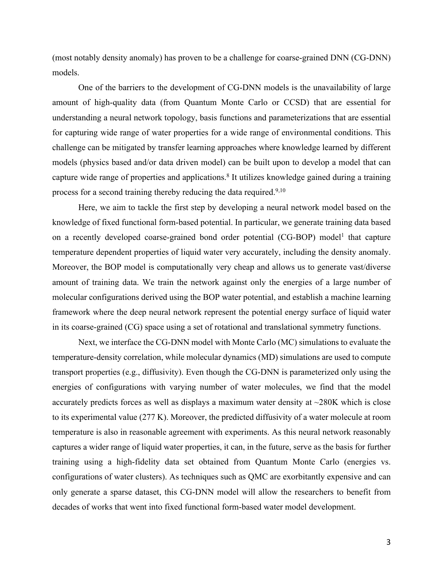(most notably density anomaly) has proven to be a challenge for coarse-grained DNN (CG-DNN) models.

One of the barriers to the development of CG-DNN models is the unavailability of large amount of high-quality data (from Quantum Monte Carlo or CCSD) that are essential for understanding a neural network topology, basis functions and parameterizations that are essential for capturing wide range of water properties for a wide range of environmental conditions. This challenge can be mitigated by transfer learning approaches where knowledge learned by different models (physics based and/or data driven model) can be built upon to develop a model that can capture wide range of properties and applications.<sup>8</sup> It utilizes knowledge gained during a training process for a second training thereby reducing the data required.<sup>9,10</sup>

Here, we aim to tackle the first step by developing a neural network model based on the knowledge of fixed functional form-based potential. In particular, we generate training data based on a recently developed coarse-grained bond order potential (CG-BOP) model<sup>1</sup> that capture temperature dependent properties of liquid water very accurately, including the density anomaly. Moreover, the BOP model is computationally very cheap and allows us to generate vast/diverse amount of training data. We train the network against only the energies of a large number of molecular configurations derived using the BOP water potential, and establish a machine learning framework where the deep neural network represent the potential energy surface of liquid water in its coarse-grained (CG) space using a set of rotational and translational symmetry functions.

Next, we interface the CG-DNN model with Monte Carlo (MC) simulations to evaluate the temperature-density correlation, while molecular dynamics (MD) simulations are used to compute transport properties (e.g., diffusivity). Even though the CG-DNN is parameterized only using the energies of configurations with varying number of water molecules, we find that the model accurately predicts forces as well as displays a maximum water density at ~280K which is close to its experimental value (277 K). Moreover, the predicted diffusivity of a water molecule at room temperature is also in reasonable agreement with experiments. As this neural network reasonably captures a wider range of liquid water properties, it can, in the future, serve as the basis for further training using a high-fidelity data set obtained from Quantum Monte Carlo (energies vs. configurations of water clusters). As techniques such as QMC are exorbitantly expensive and can only generate a sparse dataset, this CG-DNN model will allow the researchers to benefit from decades of works that went into fixed functional form-based water model development.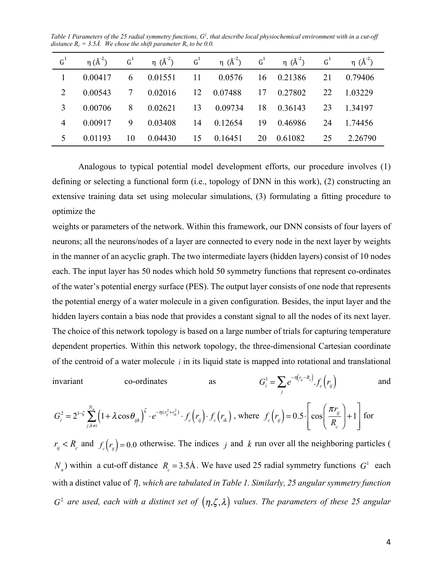Table 1 Parameters of the 25 radial symmetry functions, G<sup>1</sup>, that describe local physiochemical environment with in a cut-off *distance*  $R_c = 3.5\text{\AA}$ . We chose the shift parameter  $R_s$  to be 0.0.

| $G^1$ | $\eta$ ( $\AA^{-2}$ ) |    | $G^1$ $\eta$ $(A^2)$ $G^1$ $\eta$ $(A^2)$ $G^1$ $\eta$ $(A^2)$ $G^1$ |            |            |    | $\eta$ $(\AA^{-2})$ |
|-------|-----------------------|----|----------------------------------------------------------------------|------------|------------|----|---------------------|
|       | 0.00417               |    | 6 0.01551                                                            | 11 0.0576  | 16 0.21386 |    | 21 0.79406          |
|       | 2 0.00543             |    | 7  0.02016  12  0.07488                                              |            | 17 0.27802 |    | 22 1.03229          |
|       | 3 0.00706             |    | 8 0.02621                                                            | 13 0.09734 | 18 0.36143 |    | 23 1.34197          |
|       | 4 0.00917             |    | 9 0.03408                                                            | 14 0.12654 | 19 0.46986 |    | 24 1.74456          |
| 5     | 0.01193               | 10 | $0.04430$ 15 $0.16451$                                               |            | 20 0.61082 | 25 | 2.26790             |

 Analogous to typical potential model development efforts, our procedure involves (1) defining or selecting a functional form (i.e., topology of DNN in this work), (2) constructing an extensive training data set using molecular simulations, (3) formulating a fitting procedure to optimize the

weights or parameters of the network. Within this framework, our DNN consists of four layers of neurons; all the neurons/nodes of a layer are connected to every node in the next layer by weights in the manner of an acyclic graph. The two intermediate layers (hidden layers) consist of 10 nodes each. The input layer has 50 nodes which hold 50 symmetry functions that represent co-ordinates of the water's potential energy surface (PES). The output layer consists of one node that represents the potential energy of a water molecule in a given configuration. Besides, the input layer and the hidden layers contain a bias node that provides a constant signal to all the nodes of its next layer. The choice of this network topology is based on a large number of trials for capturing temperature dependent properties. Within this network topology, the three-dimensional Cartesian coordinate of the centroid of a water molecule  $i$  in its liquid state is mapped into rotational and translational

invariant co-ordinates as 
$$
G_i^1 = \sum_j e^{-\eta(r_{ij} - R_s)} \cdot f_c(r_j)
$$
 and

$$
G_i^2 = 2^{1-\zeta} \sum_{j,k\neq i}^{N_n} \left(1 + \lambda \cos \theta_{ijk}\right)^{\zeta} \cdot e^{-\eta(r_{ij}^2 + r_{ik}^2)} \cdot f_c(r_{ij}) \cdot f_c(r_{ik}), \text{ where } f_c(r_{ij}) = 0.5 \cdot \left[\cos\left(\frac{\pi r_{ij}}{R_c}\right) + 1\right] \text{ for }
$$

 $r_{ij} < R_c$  and  $f_c(r_{ij}) = 0.0$  otherwise. The indices *j* and *k* run over all the neighboring particles (  $N_n$ ) within a cut-off distance  $R_c = 3.5$ Å. We have used 25 radial symmetry functions  $G^1$  each with a distinct value of *η*, which are tabulated in Table 1. Similarly, 25 angular symmetry function  $G<sup>2</sup>$  are used, each with a distinct set of  $(\eta,\zeta,\lambda)$  values. The parameters of these 25 angular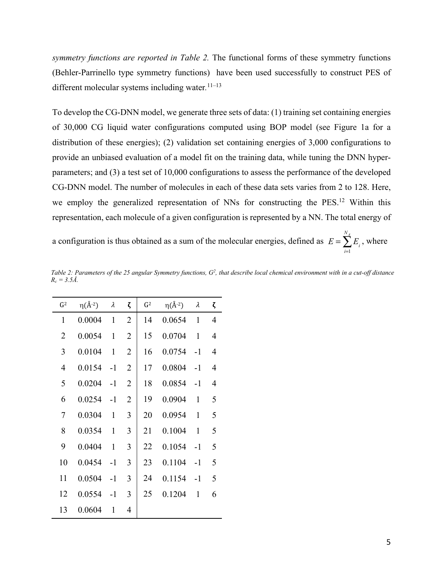*symmetry functions are reported in Table 2.* The functional forms of these symmetry functions (Behler-Parrinello type symmetry functions) have been used successfully to construct PES of different molecular systems including water*.* 11–13

To develop the CG-DNN model, we generate three sets of data: (1) training set containing energies of 30,000 CG liquid water configurations computed using BOP model (see Figure 1a for a distribution of these energies); (2) validation set containing energies of 3,000 configurations to provide an unbiased evaluation of a model fit on the training data, while tuning the DNN hyperparameters; and (3) a test set of 10,000 configurations to assess the performance of the developed CG-DNN model. The number of molecules in each of these data sets varies from 2 to 128. Here, we employ the generalized representation of NNs for constructing the PES.<sup>12</sup> Within this representation, each molecule of a given configuration is represented by a NN. The total energy of

a configuration is thus obtained as a sum of the molecular energies, defined as  $E = \sum_{i=1}^{n} E_i$ , where *NA* ∑

| G <sup>2</sup> | $\eta(\AA^{-2})$ | λ            | ζ              | G <sup>2</sup> | $\eta(\AA^{-2})$ | λ            | ζ              |
|----------------|------------------|--------------|----------------|----------------|------------------|--------------|----------------|
| 1              | 0.0004           | 1            | $\overline{2}$ | 14             | 0.0654           | 1            | 4              |
| $\overline{2}$ | 0.0054           | 1            | 2              | 15             | 0.0704           | 1            | $\overline{4}$ |
| 3              | 0.0104           | 1            | 2              | 16             | 0.0754           | $-1$         | $\overline{4}$ |
| $\overline{4}$ | 0.0154           | $-1$         | 2              | 17             | 0.0804           | $-1$         | $\overline{4}$ |
| 5              | 0.0204           | $-1$         | 2              | 18             | 0.0854           | $-1$         | $\overline{4}$ |
| 6              | 0.0254           | $-1$         | $\overline{2}$ | 19             | 0.0904           | $\mathbf{1}$ | 5              |
| $\overline{7}$ | 0.0304           | $\mathbf{1}$ | 3              | 20             | 0.0954           | 1            | 5              |
| 8              | 0.0354           | 1            | 3              | 21             | 0.1004           | 1            | 5              |
| 9              | 0.0404           | 1            | 3              | 22             | 0.1054           | $-1$         | 5              |
| 10             | 0.0454           | $-1$         | 3              | 23             | 0.1104           | -1           | 5              |
| 11             | 0.0504           | $-1$         | 3              | 24             | 0.1154           | -1           | 5              |
| 12             | 0.0554           | $-1$         | 3              | 25             | 0.1204           | 1            | 6              |
| 13             | 0.0604           | 1            | $\overline{4}$ |                |                  |              |                |

Table 2: Parameters of the 25 angular Symmetry functions,  $G^2$ , that describe local chemical environment with in a cut-off distance  $R_c = 3.5\AA$ .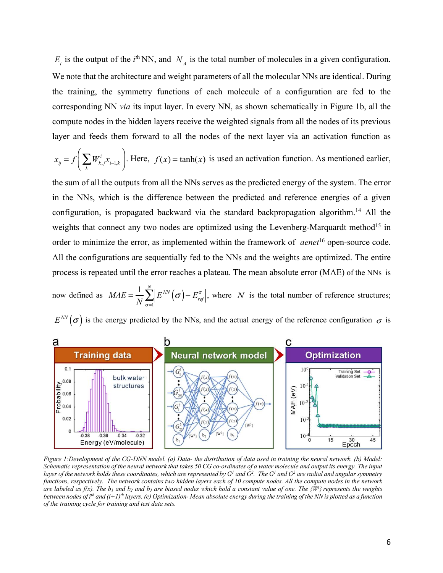$E_i$  is the output of the *i*<sup>th</sup>NN, and  $N_A$  is the total number of molecules in a given configuration. We note that the architecture and weight parameters of all the molecular NNs are identical. During the training, the symmetry functions of each molecule of a configuration are fed to the corresponding NN *via* its input layer. In every NN, as shown schematically in Figure 1b, all the compute nodes in the hidden layers receive the weighted signals from all the nodes of its previous layer and feeds them forward to all the nodes of the next layer via an activation function as

$$
x_{ij} = f\left(\sum_{k} W_{k,j}^{i} x_{i-1,k}\right).
$$
 Here,  $f(x) = \tanh(x)$  is used an activation function. As mentioned earlier,

the sum of all the outputs from all the NNs serves as the predicted energy of the system. The error in the NNs, which is the difference between the predicted and reference energies of a given configuration, is propagated backward via the standard backpropagation algorithm.<sup>14</sup> All the weights that connect any two nodes are optimized using the Levenberg-Marquardt method<sup>15</sup> in order to minimize the error, as implemented within the framework of *aenet*<sup>16</sup> open-source code. All the configurations are sequentially fed to the NNs and the weights are optimized. The entire process is repeated until the error reaches a plateau. The mean absolute error (MAE) of the NNs is

now defined as  $MAE = \frac{1}{N} \sum_{i=1}^{N} \left| E^{NN}(\sigma) - E^{\sigma}_{ref} \right|$ , where N is the total number of reference structures; *N*  $E^{NN}(\sigma)$  –  $E_{ref}^{\sigma}$  $\sigma = 1$  $\sum_{r \in \mathcal{F}}^N \left| E^{\text{NN}} \left( \sigma \right) - E_{\text{ref}}^{\sigma} \right|$ , where N

 $E^{NN}(\sigma)$  is the energy predicted by the NNs, and the actual energy of the reference configuration  $\sigma$  is



*Figure 1:Development of the CG-DNN model. (a) Data- the distribution of data used in training the neural network. (b) Model: Schematic representation of the neural network that takes 50 CG co-ordinates of a water molecule and output its energy. The input*  layer of the network holds these coordinates, which are represented by G<sup>1</sup> and G<sup>2</sup>. The G<sup>1</sup> and G<sup>2</sup> are radial and angular symmetry *functions, respectively. The network contains two hidden layers each of 10 compute nodes. All the compute nodes in the network are labeled as f(x). The b1 and b2 and b3 are biased nodes which hold a constant value of one. The {W<sup>i</sup> } represents the weights between nodes of ith and (i+1)th layers. (c) Optimization- Mean absolute energy during the training of the NN is plotted as a function of the training cycle for training and test data sets.*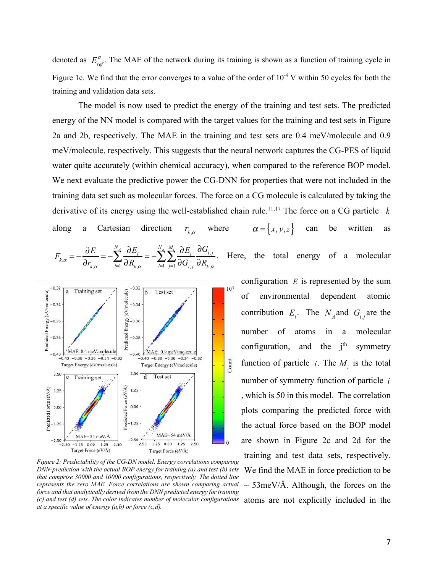denoted as  $E_{ref}^{\sigma}$ . The MAE of the network during its training is shown as a function of training cycle in Figure 1c. We find that the error converges to a value of the order of  $10^{-4}$  V within 50 cycles for both the training and validation data sets.

The model is now used to predict the energy of the training and test sets. The predicted energy of the NN model is compared with the target values for the training and test sets in Figure 2a and 2b, respectively. The MAE in the training and test sets are 0.4 meV/molecule and 0.9 meV/molecule, respectively. This suggests that the neural network captures the CG-PES of liquid water quite accurately (within chemical accuracy), when compared to the reference BOP model. We next evaluate the predictive power the CG-DNN for properties that were not included in the training data set such as molecular forces. The force on a CG molecule is calculated by taking the derivative of its energy using the well-established chain rule.11,17 The force on a CG particle *k* along a Cartesian direction  $r_{k,\alpha}$  where  $\alpha = \{x, y, z\}$  can be written as  $F_{k,\alpha} = -\frac{\partial E}{\partial r} = -\sum_{i=1}^{N_A} \frac{\partial E_i}{\partial P_i} = -\sum_{i=1}^{N_A} \sum_{i=1}^{M_i} \frac{\partial E_i}{\partial P_i} \frac{\partial G_{i,j}}{\partial P_i}$ . Here, the total energy of a molecular ∂*r k* ,<sup>α</sup>  $=-\sum_{i=1}^{N_A}\frac{\partial E_i}{\partial \overline{E_i}}$  $∂R$ <sup>*k*</sup>  $,α$  $=-\sum_{i=1}^{N_A}\sum_{i=1}^{M_i}\frac{\partial E_i}{\partial x_i}$ ∂*Gi*, *<sup>j</sup>* ∂*Gi*, *<sup>j</sup>*  $\sum_{j=1}^{\ell} \partial G_{i,j}^{\phantom{\ell}}\, \partial R_{k,\alpha}^{\phantom{\ell}}$ *Mi* ∑*NA* ∑ *NA* ∑



*i*=1

*i*=1

(c) and test (d) sets. The color indicates number of molecular configurations atoms are not explicitly included in the *Figure 2: Predictability of the CG-DN model. Energy correlations comparing DNN-prediction with the actual BOP energy for training (a) and test (b) sets that comprise 30000 and 10000 configurations, respectively. The dotted line represents the zero MAE. Force correlations are shown comparing actual force and that analytically derived from the DNN predicted energy for training at a specific value of energy (a,b) or force (c,d).* 

configuration  $E$  is represented by the sum of environmental dependent atomic contribution  $E_i$ . The  $N_A$  and  $G_i$  are the number of atoms in a molecular configuration, and the  $i<sup>th</sup>$  symmetry function of particle *i*. The  $M_i$  is the total number of symmetry function of particle *i* , which is 50 in this model. The correlation plots comparing the predicted force with the actual force based on the BOP model are shown in Figure 2c and 2d for the training and test data sets, respectively. We find the MAE in force prediction to be  $\sim$  53meV/Å. Although, the forces on the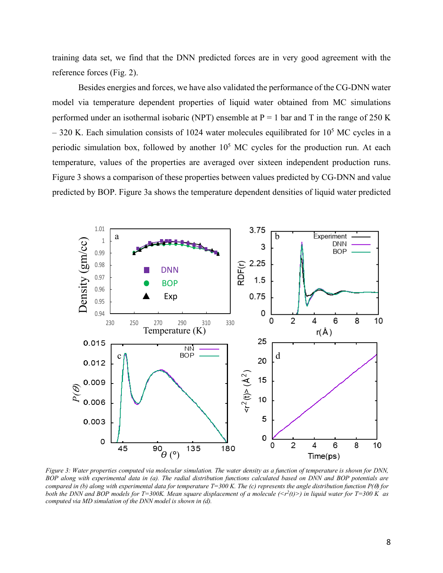training data set, we find that the DNN predicted forces are in very good agreement with the reference forces (Fig. 2).

Besides energies and forces, we have also validated the performance of the CG-DNN water model via temperature dependent properties of liquid water obtained from MC simulations performed under an isothermal isobaric (NPT) ensemble at  $P = 1$  bar and T in the range of 250 K  $-320$  K. Each simulation consists of 1024 water molecules equilibrated for  $10<sup>5</sup>$  MC cycles in a periodic simulation box, followed by another 10<sup>5</sup> MC cycles for the production run. At each temperature, values of the properties are averaged over sixteen independent production runs. Figure 3 shows a comparison of these properties between values predicted by CG-DNN and value predicted by BOP. Figure 3a shows the temperature dependent densities of liquid water predicted



*Figure 3: Water properties computed via molecular simulation. The water density as a function of temperature is shown for DNN, BOP along with experimental data in (a). The radial distribution functions calculated based on DNN and BOP potentials are compared in (b) along with experimental data for temperature T=300 K. The (c) represents the angle distribution function P(*q*) for both the DNN and BOP models for T=300K. Mean square displacement of a molecule (<r<sup>2</sup> (t)>) in liquid water for T=300 K as computed via MD simulation of the DNN model is shown in (d).*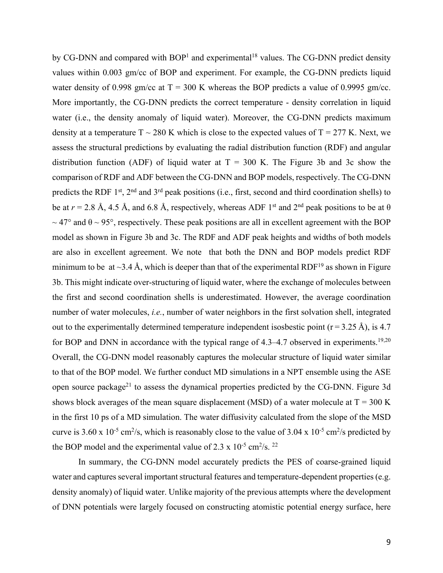by CG-DNN and compared with  $BOP<sup>1</sup>$  and experimental<sup>18</sup> values. The CG-DNN predict density values within 0.003 gm/cc of BOP and experiment. For example, the CG-DNN predicts liquid water density of 0.998 gm/cc at  $T = 300$  K whereas the BOP predicts a value of 0.9995 gm/cc. More importantly, the CG-DNN predicts the correct temperature - density correlation in liquid water (i.e., the density anomaly of liquid water). Moreover, the CG-DNN predicts maximum density at a temperature  $T \sim 280$  K which is close to the expected values of  $T = 277$  K. Next, we assess the structural predictions by evaluating the radial distribution function (RDF) and angular distribution function (ADF) of liquid water at  $T = 300$  K. The Figure 3b and 3c show the comparison of RDF and ADF between the CG-DNN and BOP models, respectively. The CG-DNN predicts the RDF 1<sup>st</sup>, 2<sup>nd</sup> and 3<sup>rd</sup> peak positions (i.e., first, second and third coordination shells) to be at  $r = 2.8$  Å, 4.5 Å, and 6.8 Å, respectively, whereas ADF 1<sup>st</sup> and 2<sup>nd</sup> peak positions to be at  $\theta$  $\sim$  47° and  $\theta$  ~ 95°, respectively. These peak positions are all in excellent agreement with the BOP model as shown in Figure 3b and 3c. The RDF and ADF peak heights and widths of both models are also in excellent agreement. We note that both the DNN and BOP models predict RDF minimum to be at  $\sim$ 3.4 Å, which is deeper than that of the experimental RDF<sup>19</sup> as shown in Figure 3b. This might indicate over-structuring of liquid water, where the exchange of molecules between the first and second coordination shells is underestimated. However, the average coordination number of water molecules, *i.e.*, number of water neighbors in the first solvation shell, integrated out to the experimentally determined temperature independent isosbestic point ( $r = 3.25$  Å), is 4.7 for BOP and DNN in accordance with the typical range of  $4.3-4.7$  observed in experiments.<sup>19,20</sup> Overall, the CG-DNN model reasonably captures the molecular structure of liquid water similar to that of the BOP model. We further conduct MD simulations in a NPT ensemble using the ASE open source package<sup>21</sup> to assess the dynamical properties predicted by the CG-DNN. Figure 3d shows block averages of the mean square displacement (MSD) of a water molecule at  $T = 300$  K in the first 10 ps of a MD simulation. The water diffusivity calculated from the slope of the MSD curve is 3.60 x 10<sup>-5</sup> cm<sup>2</sup>/s, which is reasonably close to the value of 3.04 x 10<sup>-5</sup> cm<sup>2</sup>/s predicted by the BOP model and the experimental value of 2.3 x  $10^{-5}$  cm<sup>2</sup>/s. <sup>22</sup>

 In summary, the CG-DNN model accurately predicts the PES of coarse-grained liquid water and captures several important structural features and temperature-dependent properties (e.g. density anomaly) of liquid water. Unlike majority of the previous attempts where the development of DNN potentials were largely focused on constructing atomistic potential energy surface, here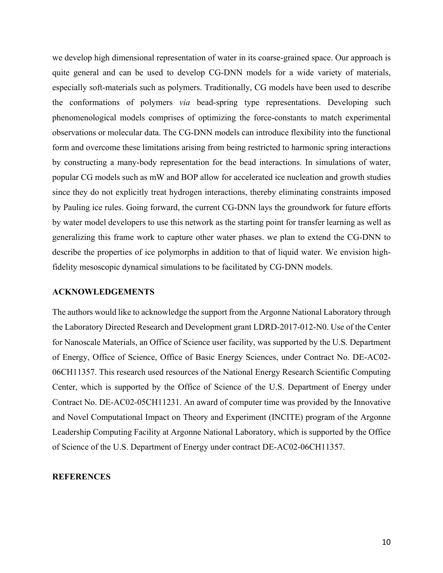we develop high dimensional representation of water in its coarse-grained space. Our approach is quite general and can be used to develop CG-DNN models for a wide variety of materials, especially soft-materials such as polymers. Traditionally, CG models have been used to describe the conformations of polymers *via* bead-spring type representations. Developing such phenomenological models comprises of optimizing the force-constants to match experimental observations or molecular data. The CG-DNN models can introduce flexibility into the functional form and overcome these limitations arising from being restricted to harmonic spring interactions by constructing a many-body representation for the bead interactions. In simulations of water, popular CG models such as mW and BOP allow for accelerated ice nucleation and growth studies since they do not explicitly treat hydrogen interactions, thereby eliminating constraints imposed by Pauling ice rules. Going forward, the current CG-DNN lays the groundwork for future efforts by water model developers to use this network as the starting point for transfer learning as well as generalizing this frame work to capture other water phases. we plan to extend the CG-DNN to describe the properties of ice polymorphs in addition to that of liquid water. We envision highfidelity mesoscopic dynamical simulations to be facilitated by CG-DNN models.

## **ACKNOWLEDGEMENTS**

The authors would like to acknowledge the support from the Argonne National Laboratory through the Laboratory Directed Research and Development grant LDRD-2017-012-N0. Use of the Center for Nanoscale Materials, an Office of Science user facility, was supported by the U.S. Department of Energy, Office of Science, Office of Basic Energy Sciences, under Contract No. DE-AC02- 06CH11357. This research used resources of the National Energy Research Scientific Computing Center, which is supported by the Office of Science of the U.S. Department of Energy under Contract No. DE-AC02-05CH11231. An award of computer time was provided by the Innovative and Novel Computational Impact on Theory and Experiment (INCITE) program of the Argonne Leadership Computing Facility at Argonne National Laboratory, which is supported by the Office of Science of the U.S. Department of Energy under contract DE-AC02-06CH11357.

## **REFERENCES**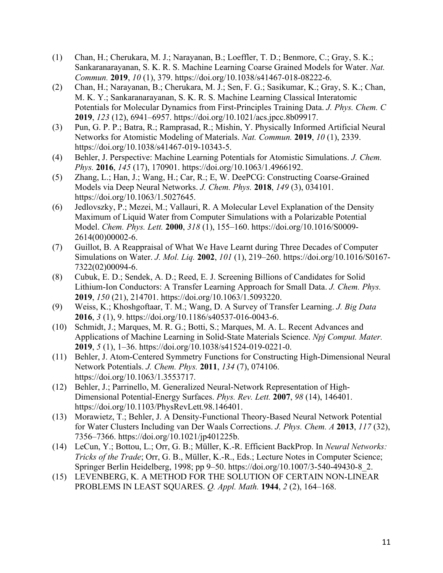- (1) Chan, H.; Cherukara, M. J.; Narayanan, B.; Loeffler, T. D.; Benmore, C.; Gray, S. K.; Sankaranarayanan, S. K. R. S. Machine Learning Coarse Grained Models for Water. *Nat. Commun.* **2019**, *10* (1), 379. https://doi.org/10.1038/s41467-018-08222-6.
- (2) Chan, H.; Narayanan, B.; Cherukara, M. J.; Sen, F. G.; Sasikumar, K.; Gray, S. K.; Chan, M. K. Y.; Sankaranarayanan, S. K. R. S. Machine Learning Classical Interatomic Potentials for Molecular Dynamics from First-Principles Training Data. *J. Phys. Chem. C* **2019**, *123* (12), 6941–6957. https://doi.org/10.1021/acs.jpcc.8b09917.
- (3) Pun, G. P. P.; Batra, R.; Ramprasad, R.; Mishin, Y. Physically Informed Artificial Neural Networks for Atomistic Modeling of Materials. *Nat. Commun.* **2019**, *10* (1), 2339. https://doi.org/10.1038/s41467-019-10343-5.
- (4) Behler, J. Perspective: Machine Learning Potentials for Atomistic Simulations. *J. Chem. Phys.* **2016**, *145* (17), 170901. https://doi.org/10.1063/1.4966192.
- (5) Zhang, L.; Han, J.; Wang, H.; Car, R.; E, W. DeePCG: Constructing Coarse-Grained Models via Deep Neural Networks. *J. Chem. Phys.* **2018**, *149* (3), 034101. https://doi.org/10.1063/1.5027645.
- (6) Jedlovszky, P.; Mezei, M.; Vallauri, R. A Molecular Level Explanation of the Density Maximum of Liquid Water from Computer Simulations with a Polarizable Potential Model. *Chem. Phys. Lett.* **2000**, *318* (1), 155–160. https://doi.org/10.1016/S0009- 2614(00)00002-6.
- (7) Guillot, B. A Reappraisal of What We Have Learnt during Three Decades of Computer Simulations on Water. *J. Mol. Liq.* **2002**, *101* (1), 219–260. https://doi.org/10.1016/S0167- 7322(02)00094-6.
- (8) Cubuk, E. D.; Sendek, A. D.; Reed, E. J. Screening Billions of Candidates for Solid Lithium-Ion Conductors: A Transfer Learning Approach for Small Data. *J. Chem. Phys.* **2019**, *150* (21), 214701. https://doi.org/10.1063/1.5093220.
- (9) Weiss, K.; Khoshgoftaar, T. M.; Wang, D. A Survey of Transfer Learning. *J. Big Data* **2016**, *3* (1), 9. https://doi.org/10.1186/s40537-016-0043-6.
- (10) Schmidt, J.; Marques, M. R. G.; Botti, S.; Marques, M. A. L. Recent Advances and Applications of Machine Learning in Solid-State Materials Science. *Npj Comput. Mater.* **2019**, *5* (1), 1–36. https://doi.org/10.1038/s41524-019-0221-0.
- (11) Behler, J. Atom-Centered Symmetry Functions for Constructing High-Dimensional Neural Network Potentials. *J. Chem. Phys.* **2011**, *134* (7), 074106. https://doi.org/10.1063/1.3553717.
- (12) Behler, J.; Parrinello, M. Generalized Neural-Network Representation of High-Dimensional Potential-Energy Surfaces. *Phys. Rev. Lett.* **2007**, *98* (14), 146401. https://doi.org/10.1103/PhysRevLett.98.146401.
- (13) Morawietz, T.; Behler, J. A Density-Functional Theory-Based Neural Network Potential for Water Clusters Including van Der Waals Corrections. *J. Phys. Chem. A* **2013**, *117* (32), 7356–7366. https://doi.org/10.1021/jp401225b.
- (14) LeCun, Y.; Bottou, L.; Orr, G. B.; Müller, K.-R. Efficient BackProp. In *Neural Networks: Tricks of the Trade*; Orr, G. B., Müller, K.-R., Eds.; Lecture Notes in Computer Science; Springer Berlin Heidelberg, 1998; pp 9–50. https://doi.org/10.1007/3-540-49430-8\_2.
- (15) LEVENBERG, K. A METHOD FOR THE SOLUTION OF CERTAIN NON-LINEAR PROBLEMS IN LEAST SQUARES. *Q. Appl. Math.* **1944**, *2* (2), 164–168.